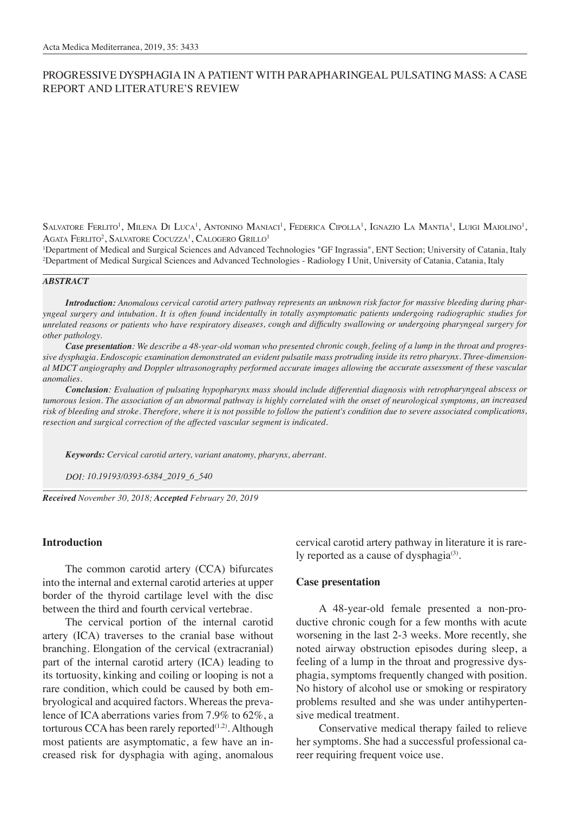# PROGRESSIVE DYSPHAGIA IN A PATIENT WITH PARAPHARINGEAL PULSATING MASS: A CASE REPORT AND LITERATURE'S REVIEW

 $S$ alvatore Ferlito<sup>1</sup>, Milena Di Luca<sup>1</sup>, Antonino Maniaci<sup>1</sup>, Federica Cipolla<sup>1</sup>, Ignazio La Mantia<sup>1</sup>, Luigi Maiolino<sup>1</sup>, Agata Ferlito<sup>2</sup>, Salvatore Cocuzza<sup>1</sup>, Calogero Grillo<sup>1</sup>

1 Department of Medical and Surgical Sciences and Advanced Technologies "GF Ingrassia", ENT Section; University of Catania, Italy 2 Department of Medical Surgical Sciences and Advanced Technologies - Radiology I Unit, University of Catania, Catania, Italy

#### *ABSTRACT*

*Introduction: Anomalous cervical carotid artery pathway represents an unknown risk factor for massive bleeding during pharyngeal surgery and intubation. It is often found incidentally in totally asymptomatic patients undergoing radiographic studies for unrelated reasons or patients who have respiratory diseases, cough and difficulty swallowing or undergoing pharyngeal surgery for other pathology.* 

*Case presentation: We describe a 48-year-old woman who presented chronic cough, feeling of a lump in the throat and progressive dysphagia. Endoscopic examination demonstrated an evident pulsatile mass protruding inside its retro pharynx. Three-dimensional MDCT angiography and Doppler ultrasonography performed accurate images allowing the accurate assessment of these vascular anomalies.*

*Conclusion: Evaluation of pulsating hypopharynx mass should include differential diagnosis with retropharyngeal abscess or tumorous lesion. The association of an abnormal pathway is highly correlated with the onset of neurological symptoms, an increased risk of bleeding and stroke. Therefore, where it is not possible to follow the patient's condition due to severe associated complications, resection and surgical correction of the affected vascular segment is indicated.*

*Keywords: Cervical carotid artery, variant anatomy, pharynx, aberrant.*

*DOI: 10.19193/0393-6384\_2019\_6\_540*

*Received November 30, 2018; Accepted February 20, 2019*

### **Introduction**

The common carotid artery (CCA) bifurcates into the internal and external carotid arteries at upper border of the thyroid cartilage level with the disc between the third and fourth cervical vertebrae.

The cervical portion of the internal carotid artery (ICA) traverses to the cranial base without branching. Elongation of the cervical (extracranial) part of the internal carotid artery (ICA) leading to its tortuosity, kinking and coiling or looping is not a rare condition, which could be caused by both embryological and acquired factors. Whereas the prevalence of ICA aberrations varies from 7.9% to 62%, a torturous CCA has been rarely reported $(1,2)$ . Although most patients are asymptomatic, a few have an increased risk for dysphagia with aging, anomalous

cervical carotid artery pathway in literature it is rarely reported as a cause of dysphagia $(3)$ .

### **Case presentation**

A 48-year-old female presented a non-productive chronic cough for a few months with acute worsening in the last 2-3 weeks. More recently, she noted airway obstruction episodes during sleep, a feeling of a lump in the throat and progressive dysphagia, symptoms frequently changed with position. No history of alcohol use or smoking or respiratory problems resulted and she was under antihypertensive medical treatment.

Conservative medical therapy failed to relieve her symptoms. She had a successful professional career requiring frequent voice use.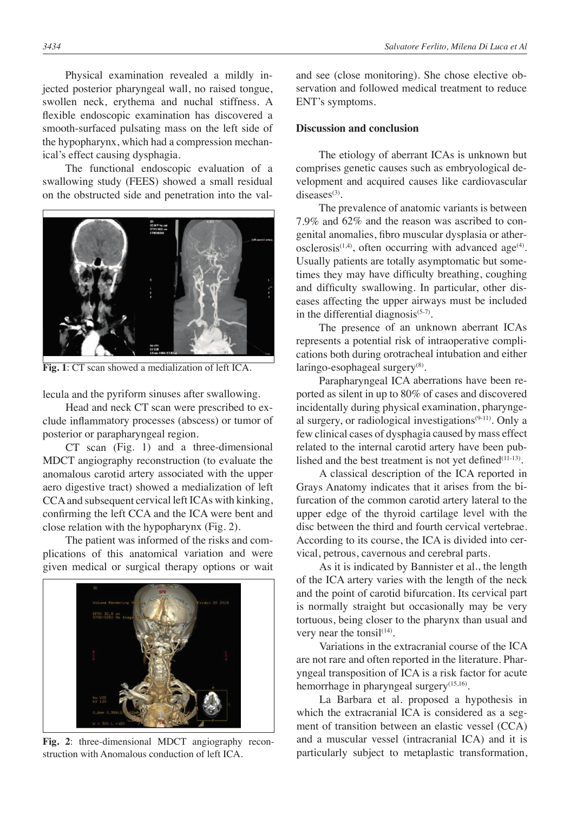Physical examination revealed a mildly injected posterior pharyngeal wall, no raised tongue, swollen neck, erythema and nuchal stiffness. A flexible endoscopic examination has discovered a smooth-surfaced pulsating mass on the left side of the hypopharynx, which had a compression mechanical's effect causing dysphagia.

The functional endoscopic evaluation of a swallowing study (FEES) showed a small residual on the obstructed side and penetration into the val-



**Fig. 1**: CT scan showed a medialization of left ICA.

lecula and the pyriform sinuses after swallowing.

Head and neck CT scan were prescribed to exclude inflammatory processes (abscess) or tumor of posterior or parapharyngeal region.

CT scan (Fig. 1) and a three-dimensional MDCT angiography reconstruction (to evaluate the anomalous carotid artery associated with the upper aero digestive tract) showed a medialization of left CCA and subsequent cervical left ICAs with kinking, confirming the left CCA and the ICA were bent and close relation with the hypopharynx (Fig. 2).

The patient was informed of the risks and complications of this anatomical variation and were given medical or surgical therapy options or wait



**Fig. 2**: three-dimensional MDCT angiography reconstruction with Anomalous conduction of left ICA.

and see (close monitoring). She chose elective observation and followed medical treatment to reduce ENT's symptoms.

## **Discussion and conclusion**

The etiology of aberrant ICAs is unknown but comprises genetic causes such as embryological development and acquired causes like cardiovascular diseases $(3)$ .

The prevalence of anatomic variants is between 7.9% and 62% and the reason was ascribed to congenital anomalies, fibro muscular dysplasia or atherosclerosis<sup> $(1,4)$ </sup>, often occurring with advanced age<sup>(4)</sup>. Usually patients are totally asymptomatic but sometimes they may have difficulty breathing, coughing and difficulty swallowing. In particular, other diseases affecting the upper airways must be included in the differential diagnosis $(5-7)$ .

The presence of an unknown aberrant ICAs represents a potential risk of intraoperative complications both during orotracheal intubation and either laringo-esophageal surgery<sup>(8)</sup>.

Parapharyngeal ICA aberrations have been reported as silent in up to 80% of cases and discovered incidentally during physical examination, pharyngeal surgery, or radiological investigations<sup>(9-11)</sup>. Only a few clinical cases of dysphagia caused by mass effect related to the internal carotid artery have been published and the best treatment is not yet defined $(11-13)$ .

A classical description of the ICA reported in Grays Anatomy indicates that it arises from the bifurcation of the common carotid artery lateral to the upper edge of the thyroid cartilage level with the disc between the third and fourth cervical vertebrae. According to its course, the ICA is divided into cervical, petrous, cavernous and cerebral parts.

As it is indicated by Bannister et al., the length of the ICA artery varies with the length of the neck and the point of carotid bifurcation. Its cervical part is normally straight but occasionally may be very tortuous, being closer to the pharynx than usual and very near the tonsil $(14)$ .

Variations in the extracranial course of the ICA are not rare and often reported in the literature. Pharyngeal transposition of ICA is a risk factor for acute hemorrhage in pharyngeal surgery<sup>(15,16)</sup>.

La Barbara et al. proposed a hypothesis in which the extracranial ICA is considered as a segment of transition between an elastic vessel (CCA) and a muscular vessel (intracranial ICA) and it is particularly subject to metaplastic transformation,